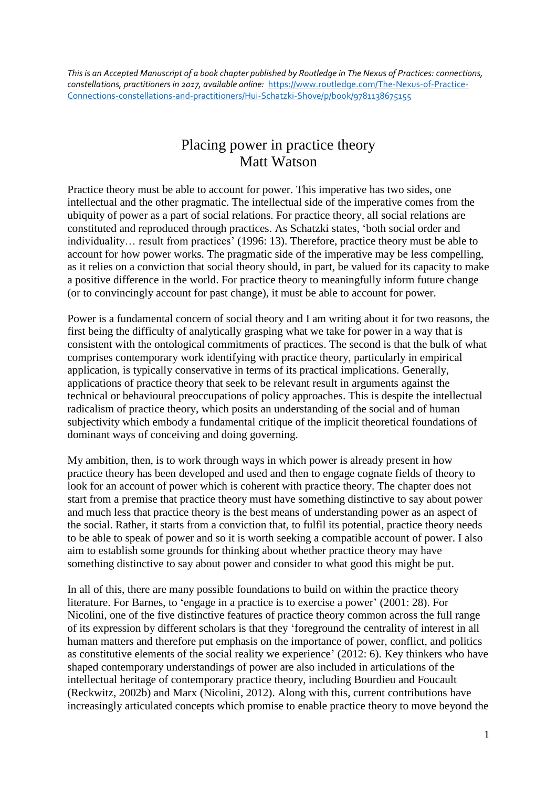*This is an Accepted Manuscript of a book chapter published by Routledge in The Nexus of Practices: connections, constellations, practitioners in 2017, available online:* [https://www.routledge.com/The-Nexus-of-Practice-](https://www.routledge.com/The-Nexus-of-Practice-Connections-constellations-and-practitioners/Hui-Schatzki-Shove/p/book/9781138675155)[Connections-constellations-and-practitioners/Hui-Schatzki-Shove/p/book/9781138675155](https://www.routledge.com/The-Nexus-of-Practice-Connections-constellations-and-practitioners/Hui-Schatzki-Shove/p/book/9781138675155)

# Placing power in practice theory Matt Watson

Practice theory must be able to account for power. This imperative has two sides, one intellectual and the other pragmatic. The intellectual side of the imperative comes from the ubiquity of power as a part of social relations. For practice theory, all social relations are constituted and reproduced through practices. As Schatzki states, 'both social order and individuality… result from practices' (1996: 13). Therefore, practice theory must be able to account for how power works. The pragmatic side of the imperative may be less compelling, as it relies on a conviction that social theory should, in part, be valued for its capacity to make a positive difference in the world. For practice theory to meaningfully inform future change (or to convincingly account for past change), it must be able to account for power.

Power is a fundamental concern of social theory and I am writing about it for two reasons, the first being the difficulty of analytically grasping what we take for power in a way that is consistent with the ontological commitments of practices. The second is that the bulk of what comprises contemporary work identifying with practice theory, particularly in empirical application, is typically conservative in terms of its practical implications. Generally, applications of practice theory that seek to be relevant result in arguments against the technical or behavioural preoccupations of policy approaches. This is despite the intellectual radicalism of practice theory, which posits an understanding of the social and of human subjectivity which embody a fundamental critique of the implicit theoretical foundations of dominant ways of conceiving and doing governing.

My ambition, then, is to work through ways in which power is already present in how practice theory has been developed and used and then to engage cognate fields of theory to look for an account of power which is coherent with practice theory. The chapter does not start from a premise that practice theory must have something distinctive to say about power and much less that practice theory is the best means of understanding power as an aspect of the social. Rather, it starts from a conviction that, to fulfil its potential, practice theory needs to be able to speak of power and so it is worth seeking a compatible account of power. I also aim to establish some grounds for thinking about whether practice theory may have something distinctive to say about power and consider to what good this might be put.

In all of this, there are many possible foundations to build on within the practice theory literature. For Barnes, to 'engage in a practice is to exercise a power' (2001: 28). For Nicolini, one of the five distinctive features of practice theory common across the full range of its expression by different scholars is that they 'foreground the centrality of interest in all human matters and therefore put emphasis on the importance of power, conflict, and politics as constitutive elements of the social reality we experience' (2012: 6). Key thinkers who have shaped contemporary understandings of power are also included in articulations of the intellectual heritage of contemporary practice theory, including Bourdieu and Foucault (Reckwitz, 2002b) and Marx (Nicolini, 2012). Along with this, current contributions have increasingly articulated concepts which promise to enable practice theory to move beyond the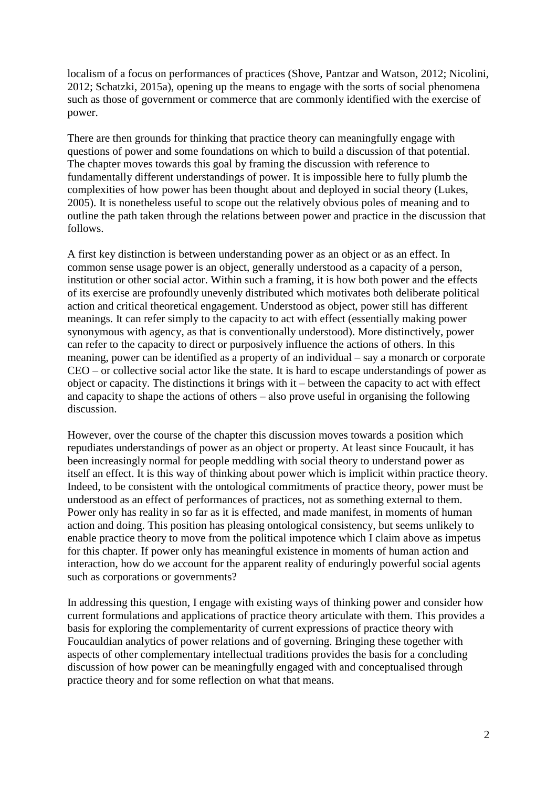localism of a focus on performances of practices (Shove, Pantzar and Watson, 2012; Nicolini, 2012; Schatzki, 2015a), opening up the means to engage with the sorts of social phenomena such as those of government or commerce that are commonly identified with the exercise of power.

There are then grounds for thinking that practice theory can meaningfully engage with questions of power and some foundations on which to build a discussion of that potential. The chapter moves towards this goal by framing the discussion with reference to fundamentally different understandings of power. It is impossible here to fully plumb the complexities of how power has been thought about and deployed in social theory (Lukes, 2005). It is nonetheless useful to scope out the relatively obvious poles of meaning and to outline the path taken through the relations between power and practice in the discussion that follows.

A first key distinction is between understanding power as an object or as an effect. In common sense usage power is an object, generally understood as a capacity of a person, institution or other social actor. Within such a framing, it is how both power and the effects of its exercise are profoundly unevenly distributed which motivates both deliberate political action and critical theoretical engagement. Understood as object, power still has different meanings. It can refer simply to the capacity to act with effect (essentially making power synonymous with agency, as that is conventionally understood). More distinctively, power can refer to the capacity to direct or purposively influence the actions of others. In this meaning, power can be identified as a property of an individual – say a monarch or corporate CEO – or collective social actor like the state. It is hard to escape understandings of power as object or capacity. The distinctions it brings with it – between the capacity to act with effect and capacity to shape the actions of others – also prove useful in organising the following discussion.

However, over the course of the chapter this discussion moves towards a position which repudiates understandings of power as an object or property. At least since Foucault, it has been increasingly normal for people meddling with social theory to understand power as itself an effect. It is this way of thinking about power which is implicit within practice theory. Indeed, to be consistent with the ontological commitments of practice theory, power must be understood as an effect of performances of practices, not as something external to them. Power only has reality in so far as it is effected, and made manifest, in moments of human action and doing. This position has pleasing ontological consistency, but seems unlikely to enable practice theory to move from the political impotence which I claim above as impetus for this chapter. If power only has meaningful existence in moments of human action and interaction, how do we account for the apparent reality of enduringly powerful social agents such as corporations or governments?

In addressing this question, I engage with existing ways of thinking power and consider how current formulations and applications of practice theory articulate with them. This provides a basis for exploring the complementarity of current expressions of practice theory with Foucauldian analytics of power relations and of governing. Bringing these together with aspects of other complementary intellectual traditions provides the basis for a concluding discussion of how power can be meaningfully engaged with and conceptualised through practice theory and for some reflection on what that means.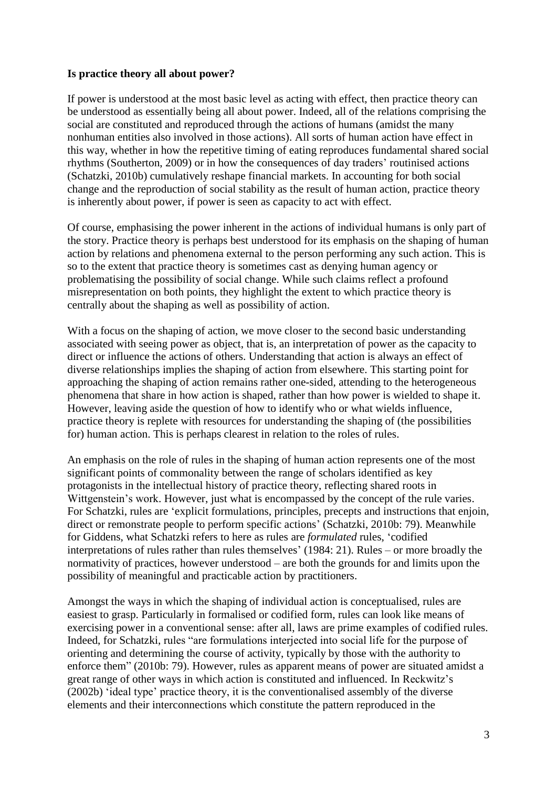# **Is practice theory all about power?**

If power is understood at the most basic level as acting with effect, then practice theory can be understood as essentially being all about power. Indeed, all of the relations comprising the social are constituted and reproduced through the actions of humans (amidst the many nonhuman entities also involved in those actions). All sorts of human action have effect in this way, whether in how the repetitive timing of eating reproduces fundamental shared social rhythms (Southerton, 2009) or in how the consequences of day traders' routinised actions (Schatzki, 2010b) cumulatively reshape financial markets. In accounting for both social change and the reproduction of social stability as the result of human action, practice theory is inherently about power, if power is seen as capacity to act with effect.

Of course, emphasising the power inherent in the actions of individual humans is only part of the story. Practice theory is perhaps best understood for its emphasis on the shaping of human action by relations and phenomena external to the person performing any such action. This is so to the extent that practice theory is sometimes cast as denying human agency or problematising the possibility of social change. While such claims reflect a profound misrepresentation on both points, they highlight the extent to which practice theory is centrally about the shaping as well as possibility of action.

With a focus on the shaping of action, we move closer to the second basic understanding associated with seeing power as object, that is, an interpretation of power as the capacity to direct or influence the actions of others. Understanding that action is always an effect of diverse relationships implies the shaping of action from elsewhere. This starting point for approaching the shaping of action remains rather one-sided, attending to the heterogeneous phenomena that share in how action is shaped, rather than how power is wielded to shape it. However, leaving aside the question of how to identify who or what wields influence, practice theory is replete with resources for understanding the shaping of (the possibilities for) human action. This is perhaps clearest in relation to the roles of rules.

An emphasis on the role of rules in the shaping of human action represents one of the most significant points of commonality between the range of scholars identified as key protagonists in the intellectual history of practice theory, reflecting shared roots in Wittgenstein's work. However, just what is encompassed by the concept of the rule varies. For Schatzki, rules are 'explicit formulations, principles, precepts and instructions that enjoin, direct or remonstrate people to perform specific actions' (Schatzki, 2010b: 79). Meanwhile for Giddens, what Schatzki refers to here as rules are *formulated* rules, 'codified interpretations of rules rather than rules themselves' (1984: 21). Rules – or more broadly the normativity of practices, however understood – are both the grounds for and limits upon the possibility of meaningful and practicable action by practitioners.

Amongst the ways in which the shaping of individual action is conceptualised, rules are easiest to grasp. Particularly in formalised or codified form, rules can look like means of exercising power in a conventional sense: after all, laws are prime examples of codified rules. Indeed, for Schatzki, rules "are formulations interjected into social life for the purpose of orienting and determining the course of activity, typically by those with the authority to enforce them" (2010b: 79). However, rules as apparent means of power are situated amidst a great range of other ways in which action is constituted and influenced. In Reckwitz's (2002b) 'ideal type' practice theory, it is the conventionalised assembly of the diverse elements and their interconnections which constitute the pattern reproduced in the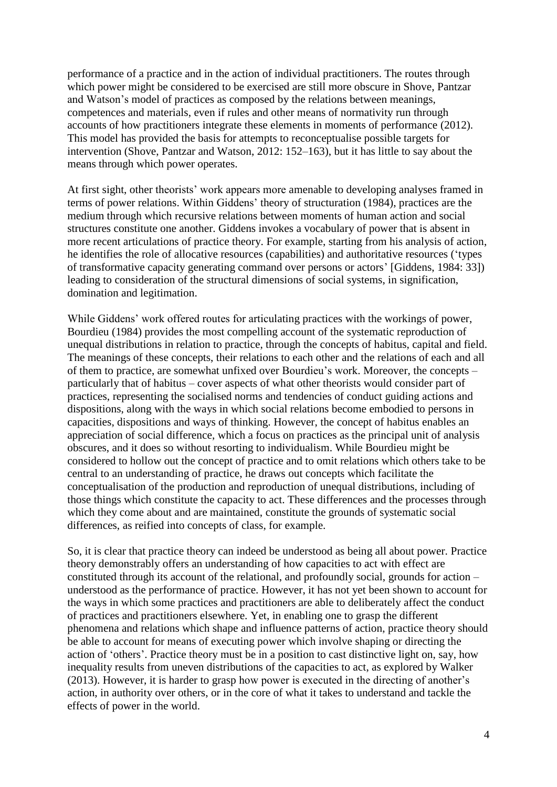performance of a practice and in the action of individual practitioners. The routes through which power might be considered to be exercised are still more obscure in Shove, Pantzar and Watson's model of practices as composed by the relations between meanings, competences and materials, even if rules and other means of normativity run through accounts of how practitioners integrate these elements in moments of performance (2012). This model has provided the basis for attempts to reconceptualise possible targets for intervention (Shove, Pantzar and Watson, 2012: 152–163), but it has little to say about the means through which power operates.

At first sight, other theorists' work appears more amenable to developing analyses framed in terms of power relations. Within Giddens' theory of structuration (1984), practices are the medium through which recursive relations between moments of human action and social structures constitute one another. Giddens invokes a vocabulary of power that is absent in more recent articulations of practice theory. For example, starting from his analysis of action, he identifies the role of allocative resources (capabilities) and authoritative resources ('types of transformative capacity generating command over persons or actors' [Giddens, 1984: 33]) leading to consideration of the structural dimensions of social systems, in signification, domination and legitimation.

While Giddens' work offered routes for articulating practices with the workings of power, Bourdieu (1984) provides the most compelling account of the systematic reproduction of unequal distributions in relation to practice, through the concepts of habitus, capital and field. The meanings of these concepts, their relations to each other and the relations of each and all of them to practice, are somewhat unfixed over Bourdieu's work. Moreover, the concepts – particularly that of habitus – cover aspects of what other theorists would consider part of practices, representing the socialised norms and tendencies of conduct guiding actions and dispositions, along with the ways in which social relations become embodied to persons in capacities, dispositions and ways of thinking. However, the concept of habitus enables an appreciation of social difference, which a focus on practices as the principal unit of analysis obscures, and it does so without resorting to individualism. While Bourdieu might be considered to hollow out the concept of practice and to omit relations which others take to be central to an understanding of practice, he draws out concepts which facilitate the conceptualisation of the production and reproduction of unequal distributions, including of those things which constitute the capacity to act. These differences and the processes through which they come about and are maintained, constitute the grounds of systematic social differences, as reified into concepts of class, for example.

So, it is clear that practice theory can indeed be understood as being all about power. Practice theory demonstrably offers an understanding of how capacities to act with effect are constituted through its account of the relational, and profoundly social, grounds for action – understood as the performance of practice. However, it has not yet been shown to account for the ways in which some practices and practitioners are able to deliberately affect the conduct of practices and practitioners elsewhere. Yet, in enabling one to grasp the different phenomena and relations which shape and influence patterns of action, practice theory should be able to account for means of executing power which involve shaping or directing the action of 'others'. Practice theory must be in a position to cast distinctive light on, say, how inequality results from uneven distributions of the capacities to act, as explored by Walker (2013). However, it is harder to grasp how power is executed in the directing of another's action, in authority over others, or in the core of what it takes to understand and tackle the effects of power in the world.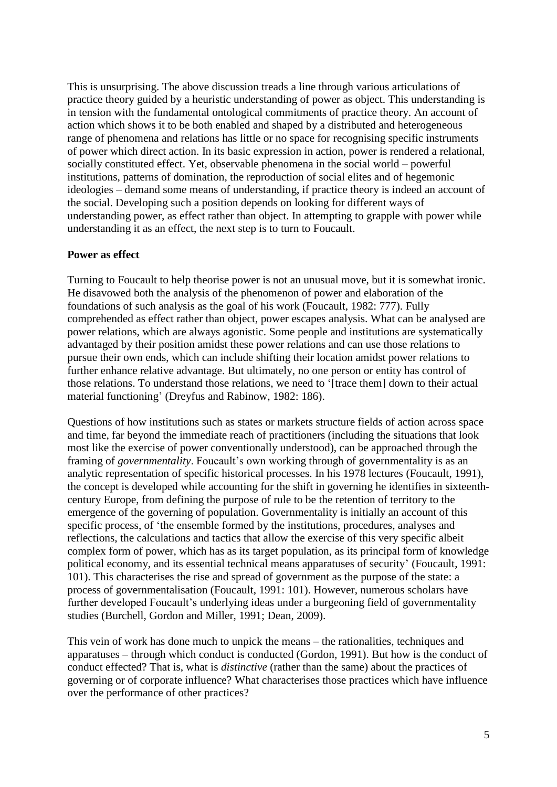This is unsurprising. The above discussion treads a line through various articulations of practice theory guided by a heuristic understanding of power as object. This understanding is in tension with the fundamental ontological commitments of practice theory. An account of action which shows it to be both enabled and shaped by a distributed and heterogeneous range of phenomena and relations has little or no space for recognising specific instruments of power which direct action. In its basic expression in action, power is rendered a relational, socially constituted effect. Yet, observable phenomena in the social world – powerful institutions, patterns of domination, the reproduction of social elites and of hegemonic ideologies – demand some means of understanding, if practice theory is indeed an account of the social. Developing such a position depends on looking for different ways of understanding power, as effect rather than object. In attempting to grapple with power while understanding it as an effect, the next step is to turn to Foucault.

## **Power as effect**

Turning to Foucault to help theorise power is not an unusual move, but it is somewhat ironic. He disavowed both the analysis of the phenomenon of power and elaboration of the foundations of such analysis as the goal of his work (Foucault, 1982: 777). Fully comprehended as effect rather than object, power escapes analysis. What can be analysed are power relations, which are always agonistic. Some people and institutions are systematically advantaged by their position amidst these power relations and can use those relations to pursue their own ends, which can include shifting their location amidst power relations to further enhance relative advantage. But ultimately, no one person or entity has control of those relations. To understand those relations, we need to '[trace them] down to their actual material functioning' (Dreyfus and Rabinow, 1982: 186).

Questions of how institutions such as states or markets structure fields of action across space and time, far beyond the immediate reach of practitioners (including the situations that look most like the exercise of power conventionally understood), can be approached through the framing of *governmentality*. Foucault's own working through of governmentality is as an analytic representation of specific historical processes. In his 1978 lectures (Foucault, 1991), the concept is developed while accounting for the shift in governing he identifies in sixteenthcentury Europe, from defining the purpose of rule to be the retention of territory to the emergence of the governing of population. Governmentality is initially an account of this specific process, of 'the ensemble formed by the institutions, procedures, analyses and reflections, the calculations and tactics that allow the exercise of this very specific albeit complex form of power, which has as its target population, as its principal form of knowledge political economy, and its essential technical means apparatuses of security' (Foucault, 1991: 101). This characterises the rise and spread of government as the purpose of the state: a process of governmentalisation (Foucault, 1991: 101). However, numerous scholars have further developed Foucault's underlying ideas under a burgeoning field of governmentality studies (Burchell, Gordon and Miller, 1991; Dean, 2009).

This vein of work has done much to unpick the means – the rationalities, techniques and apparatuses – through which conduct is conducted (Gordon, 1991). But how is the conduct of conduct effected? That is, what is *distinctive* (rather than the same) about the practices of governing or of corporate influence? What characterises those practices which have influence over the performance of other practices?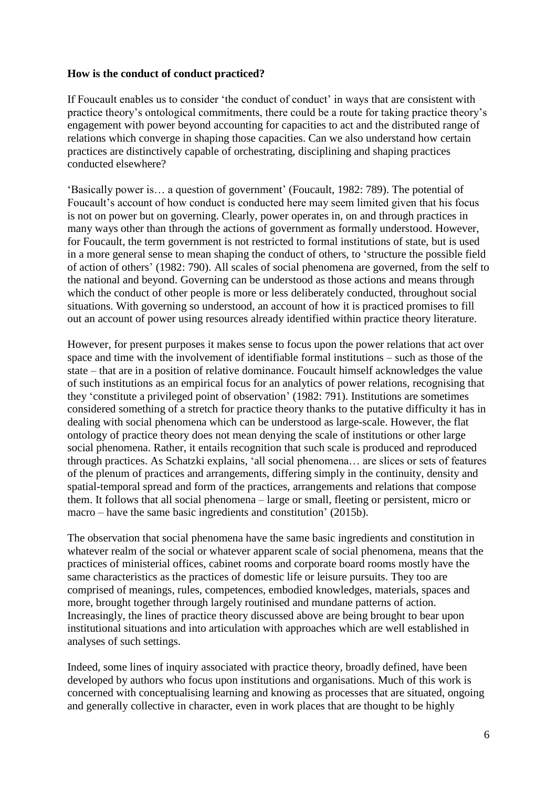#### **How is the conduct of conduct practiced?**

If Foucault enables us to consider 'the conduct of conduct' in ways that are consistent with practice theory's ontological commitments, there could be a route for taking practice theory's engagement with power beyond accounting for capacities to act and the distributed range of relations which converge in shaping those capacities. Can we also understand how certain practices are distinctively capable of orchestrating, disciplining and shaping practices conducted elsewhere?

'Basically power is… a question of government' (Foucault, 1982: 789). The potential of Foucault's account of how conduct is conducted here may seem limited given that his focus is not on power but on governing. Clearly, power operates in, on and through practices in many ways other than through the actions of government as formally understood. However, for Foucault, the term government is not restricted to formal institutions of state, but is used in a more general sense to mean shaping the conduct of others, to 'structure the possible field of action of others' (1982: 790). All scales of social phenomena are governed, from the self to the national and beyond. Governing can be understood as those actions and means through which the conduct of other people is more or less deliberately conducted, throughout social situations. With governing so understood, an account of how it is practiced promises to fill out an account of power using resources already identified within practice theory literature.

However, for present purposes it makes sense to focus upon the power relations that act over space and time with the involvement of identifiable formal institutions – such as those of the state – that are in a position of relative dominance. Foucault himself acknowledges the value of such institutions as an empirical focus for an analytics of power relations, recognising that they 'constitute a privileged point of observation' (1982: 791). Institutions are sometimes considered something of a stretch for practice theory thanks to the putative difficulty it has in dealing with social phenomena which can be understood as large-scale. However, the flat ontology of practice theory does not mean denying the scale of institutions or other large social phenomena. Rather, it entails recognition that such scale is produced and reproduced through practices. As Schatzki explains, 'all social phenomena… are slices or sets of features of the plenum of practices and arrangements, differing simply in the continuity, density and spatial-temporal spread and form of the practices, arrangements and relations that compose them. It follows that all social phenomena – large or small, fleeting or persistent, micro or macro – have the same basic ingredients and constitution' (2015b).

The observation that social phenomena have the same basic ingredients and constitution in whatever realm of the social or whatever apparent scale of social phenomena, means that the practices of ministerial offices, cabinet rooms and corporate board rooms mostly have the same characteristics as the practices of domestic life or leisure pursuits. They too are comprised of meanings, rules, competences, embodied knowledges, materials, spaces and more, brought together through largely routinised and mundane patterns of action. Increasingly, the lines of practice theory discussed above are being brought to bear upon institutional situations and into articulation with approaches which are well established in analyses of such settings.

Indeed, some lines of inquiry associated with practice theory, broadly defined, have been developed by authors who focus upon institutions and organisations. Much of this work is concerned with conceptualising learning and knowing as processes that are situated, ongoing and generally collective in character, even in work places that are thought to be highly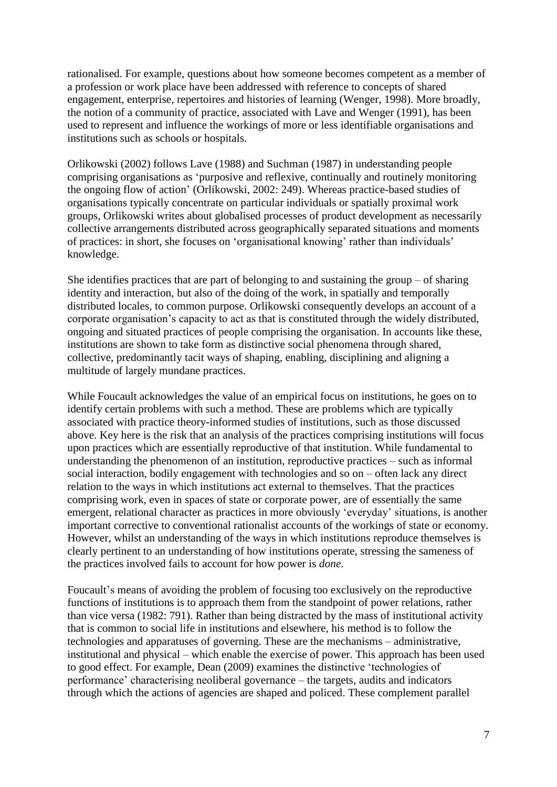rationalised. For example, questions about how someone becomes competent as a member of a profession or work place have been addressed with reference to concepts of shared engagement, enterprise, repertoires and histories of learning (Wenger, 1998). More broadly, the notion of a community of practice, associated with Lave and Wenger (1991), has been used to represent and influence the workings of more or less identifiable organisations and institutions such as schools or hospitals.

Orlikowski (2002) follows Lave (1988) and Suchman (1987) in understanding people comprising organisations as 'purposive and reflexive, continually and routinely monitoring the ongoing flow of action' (Orlikowski, 2002: 249). Whereas practice-based studies of organisations typically concentrate on particular individuals or spatially proximal work groups, Orlikowski writes about globalised processes of product development as necessarily collective arrangements distributed across geographically separated situations and moments of practices: in short, she focuses on 'organisational knowing' rather than individuals' knowledge.

She identifies practices that are part of belonging to and sustaining the group  $-$  of sharing identity and interaction, but also of the doing of the work, in spatially and temporally distributed locales, to common purpose. Orlikowski consequently develops an account of a corporate organisation's capacity to act as that is constituted through the widely distributed, ongoing and situated practices of people comprising the organisation. In accounts like these, institutions are shown to take form as distinctive social phenomena through shared, collective, predominantly tacit ways of shaping, enabling, disciplining and aligning a multitude of largely mundane practices.

While Foucault acknowledges the value of an empirical focus on institutions, he goes on to identify certain problems with such a method. These are problems which are typically associated with practice theory-informed studies of institutions, such as those discussed above. Key here is the risk that an analysis of the practices comprising institutions will focus upon practices which are essentially reproductive of that institution. While fundamental to understanding the phenomenon of an institution, reproductive practices – such as informal social interaction, bodily engagement with technologies and so on – often lack any direct relation to the ways in which institutions act external to themselves. That the practices comprising work, even in spaces of state or corporate power, are of essentially the same emergent, relational character as practices in more obviously 'everyday' situations, is another important corrective to conventional rationalist accounts of the workings of state or economy. However, whilst an understanding of the ways in which institutions reproduce themselves is clearly pertinent to an understanding of how institutions operate, stressing the sameness of the practices involved fails to account for how power is *done*.

Foucault's means of avoiding the problem of focusing too exclusively on the reproductive functions of institutions is to approach them from the standpoint of power relations, rather than vice versa (1982: 791). Rather than being distracted by the mass of institutional activity that is common to social life in institutions and elsewhere, his method is to follow the technologies and apparatuses of governing. These are the mechanisms – administrative, institutional and physical – which enable the exercise of power. This approach has been used to good effect. For example, Dean (2009) examines the distinctive 'technologies of performance' characterising neoliberal governance – the targets, audits and indicators through which the actions of agencies are shaped and policed. These complement parallel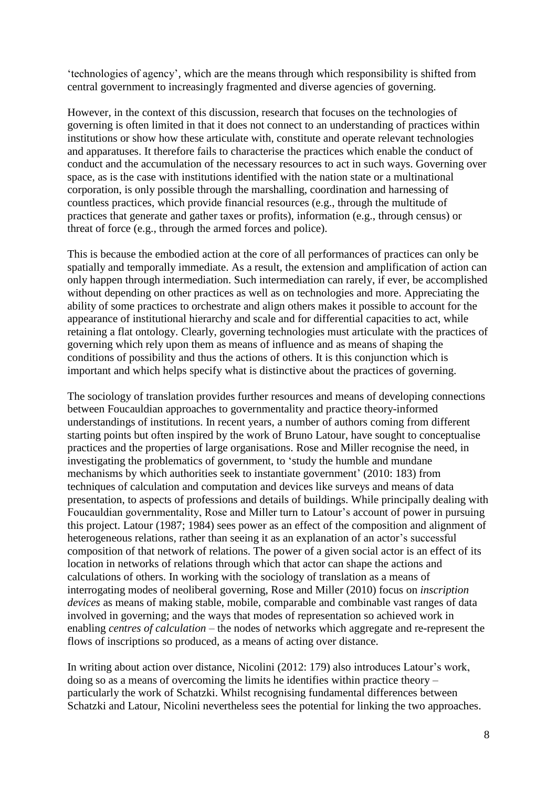'technologies of agency', which are the means through which responsibility is shifted from central government to increasingly fragmented and diverse agencies of governing.

However, in the context of this discussion, research that focuses on the technologies of governing is often limited in that it does not connect to an understanding of practices within institutions or show how these articulate with, constitute and operate relevant technologies and apparatuses. It therefore fails to characterise the practices which enable the conduct of conduct and the accumulation of the necessary resources to act in such ways. Governing over space, as is the case with institutions identified with the nation state or a multinational corporation, is only possible through the marshalling, coordination and harnessing of countless practices, which provide financial resources (e.g., through the multitude of practices that generate and gather taxes or profits), information (e.g., through census) or threat of force (e.g., through the armed forces and police).

This is because the embodied action at the core of all performances of practices can only be spatially and temporally immediate. As a result, the extension and amplification of action can only happen through intermediation. Such intermediation can rarely, if ever, be accomplished without depending on other practices as well as on technologies and more. Appreciating the ability of some practices to orchestrate and align others makes it possible to account for the appearance of institutional hierarchy and scale and for differential capacities to act, while retaining a flat ontology. Clearly, governing technologies must articulate with the practices of governing which rely upon them as means of influence and as means of shaping the conditions of possibility and thus the actions of others. It is this conjunction which is important and which helps specify what is distinctive about the practices of governing.

The sociology of translation provides further resources and means of developing connections between Foucauldian approaches to governmentality and practice theory-informed understandings of institutions. In recent years, a number of authors coming from different starting points but often inspired by the work of Bruno Latour, have sought to conceptualise practices and the properties of large organisations. Rose and Miller recognise the need, in investigating the problematics of government, to 'study the humble and mundane mechanisms by which authorities seek to instantiate government' (2010: 183) from techniques of calculation and computation and devices like surveys and means of data presentation, to aspects of professions and details of buildings. While principally dealing with Foucauldian governmentality, Rose and Miller turn to Latour's account of power in pursuing this project. Latour (1987; 1984) sees power as an effect of the composition and alignment of heterogeneous relations, rather than seeing it as an explanation of an actor's successful composition of that network of relations. The power of a given social actor is an effect of its location in networks of relations through which that actor can shape the actions and calculations of others. In working with the sociology of translation as a means of interrogating modes of neoliberal governing, Rose and Miller (2010) focus on *inscription devices* as means of making stable, mobile, comparable and combinable vast ranges of data involved in governing; and the ways that modes of representation so achieved work in enabling *centres of calculation* – the nodes of networks which aggregate and re-represent the flows of inscriptions so produced, as a means of acting over distance.

In writing about action over distance, Nicolini (2012: 179) also introduces Latour's work, doing so as a means of overcoming the limits he identifies within practice theory – particularly the work of Schatzki. Whilst recognising fundamental differences between Schatzki and Latour, Nicolini nevertheless sees the potential for linking the two approaches.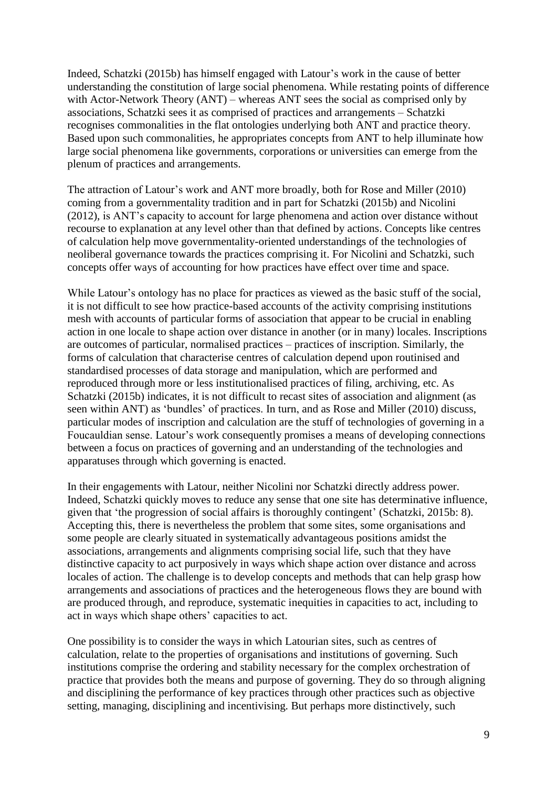Indeed, Schatzki (2015b) has himself engaged with Latour's work in the cause of better understanding the constitution of large social phenomena. While restating points of difference with Actor-Network Theory (ANT) – whereas ANT sees the social as comprised only by associations, Schatzki sees it as comprised of practices and arrangements – Schatzki recognises commonalities in the flat ontologies underlying both ANT and practice theory. Based upon such commonalities, he appropriates concepts from ANT to help illuminate how large social phenomena like governments, corporations or universities can emerge from the plenum of practices and arrangements.

The attraction of Latour's work and ANT more broadly, both for Rose and Miller (2010) coming from a governmentality tradition and in part for Schatzki (2015b) and Nicolini (2012), is ANT's capacity to account for large phenomena and action over distance without recourse to explanation at any level other than that defined by actions. Concepts like centres of calculation help move governmentality-oriented understandings of the technologies of neoliberal governance towards the practices comprising it. For Nicolini and Schatzki, such concepts offer ways of accounting for how practices have effect over time and space.

While Latour's ontology has no place for practices as viewed as the basic stuff of the social. it is not difficult to see how practice-based accounts of the activity comprising institutions mesh with accounts of particular forms of association that appear to be crucial in enabling action in one locale to shape action over distance in another (or in many) locales. Inscriptions are outcomes of particular, normalised practices – practices of inscription. Similarly, the forms of calculation that characterise centres of calculation depend upon routinised and standardised processes of data storage and manipulation, which are performed and reproduced through more or less institutionalised practices of filing, archiving, etc. As Schatzki (2015b) indicates, it is not difficult to recast sites of association and alignment (as seen within ANT) as 'bundles' of practices. In turn, and as Rose and Miller (2010) discuss, particular modes of inscription and calculation are the stuff of technologies of governing in a Foucauldian sense. Latour's work consequently promises a means of developing connections between a focus on practices of governing and an understanding of the technologies and apparatuses through which governing is enacted.

In their engagements with Latour, neither Nicolini nor Schatzki directly address power. Indeed, Schatzki quickly moves to reduce any sense that one site has determinative influence, given that 'the progression of social affairs is thoroughly contingent' (Schatzki, 2015b: 8). Accepting this, there is nevertheless the problem that some sites, some organisations and some people are clearly situated in systematically advantageous positions amidst the associations, arrangements and alignments comprising social life, such that they have distinctive capacity to act purposively in ways which shape action over distance and across locales of action. The challenge is to develop concepts and methods that can help grasp how arrangements and associations of practices and the heterogeneous flows they are bound with are produced through, and reproduce, systematic inequities in capacities to act, including to act in ways which shape others' capacities to act.

One possibility is to consider the ways in which Latourian sites, such as centres of calculation, relate to the properties of organisations and institutions of governing. Such institutions comprise the ordering and stability necessary for the complex orchestration of practice that provides both the means and purpose of governing. They do so through aligning and disciplining the performance of key practices through other practices such as objective setting, managing, disciplining and incentivising. But perhaps more distinctively, such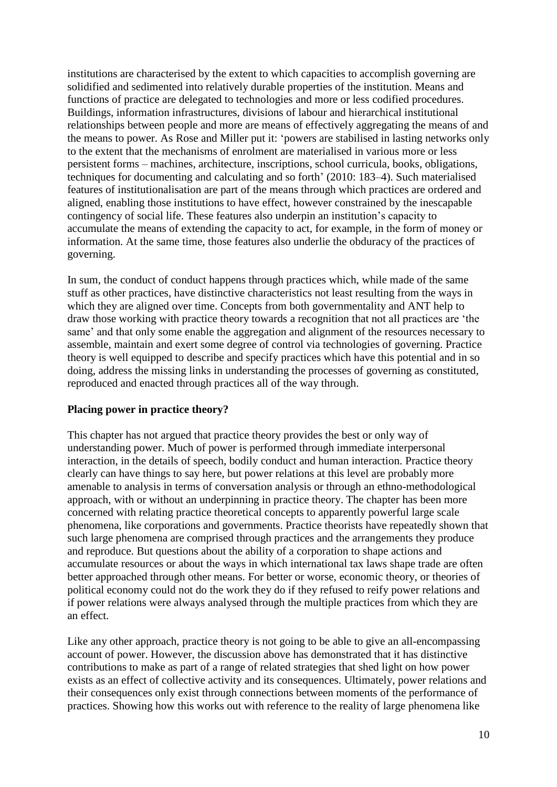institutions are characterised by the extent to which capacities to accomplish governing are solidified and sedimented into relatively durable properties of the institution. Means and functions of practice are delegated to technologies and more or less codified procedures. Buildings, information infrastructures, divisions of labour and hierarchical institutional relationships between people and more are means of effectively aggregating the means of and the means to power. As Rose and Miller put it: 'powers are stabilised in lasting networks only to the extent that the mechanisms of enrolment are materialised in various more or less persistent forms – machines, architecture, inscriptions, school curricula, books, obligations, techniques for documenting and calculating and so forth' (2010: 183–4). Such materialised features of institutionalisation are part of the means through which practices are ordered and aligned, enabling those institutions to have effect, however constrained by the inescapable contingency of social life. These features also underpin an institution's capacity to accumulate the means of extending the capacity to act, for example, in the form of money or information. At the same time, those features also underlie the obduracy of the practices of governing.

In sum, the conduct of conduct happens through practices which, while made of the same stuff as other practices, have distinctive characteristics not least resulting from the ways in which they are aligned over time. Concepts from both governmentality and ANT help to draw those working with practice theory towards a recognition that not all practices are 'the same' and that only some enable the aggregation and alignment of the resources necessary to assemble, maintain and exert some degree of control via technologies of governing. Practice theory is well equipped to describe and specify practices which have this potential and in so doing, address the missing links in understanding the processes of governing as constituted, reproduced and enacted through practices all of the way through.

# **Placing power in practice theory?**

This chapter has not argued that practice theory provides the best or only way of understanding power. Much of power is performed through immediate interpersonal interaction, in the details of speech, bodily conduct and human interaction. Practice theory clearly can have things to say here, but power relations at this level are probably more amenable to analysis in terms of conversation analysis or through an ethno-methodological approach, with or without an underpinning in practice theory. The chapter has been more concerned with relating practice theoretical concepts to apparently powerful large scale phenomena, like corporations and governments. Practice theorists have repeatedly shown that such large phenomena are comprised through practices and the arrangements they produce and reproduce. But questions about the ability of a corporation to shape actions and accumulate resources or about the ways in which international tax laws shape trade are often better approached through other means. For better or worse, economic theory, or theories of political economy could not do the work they do if they refused to reify power relations and if power relations were always analysed through the multiple practices from which they are an effect.

Like any other approach, practice theory is not going to be able to give an all-encompassing account of power. However, the discussion above has demonstrated that it has distinctive contributions to make as part of a range of related strategies that shed light on how power exists as an effect of collective activity and its consequences. Ultimately, power relations and their consequences only exist through connections between moments of the performance of practices. Showing how this works out with reference to the reality of large phenomena like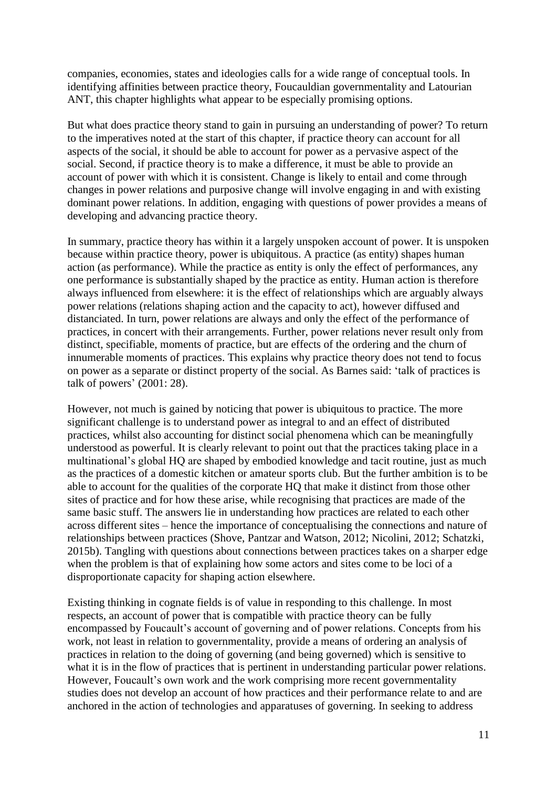companies, economies, states and ideologies calls for a wide range of conceptual tools. In identifying affinities between practice theory, Foucauldian governmentality and Latourian ANT, this chapter highlights what appear to be especially promising options.

But what does practice theory stand to gain in pursuing an understanding of power? To return to the imperatives noted at the start of this chapter, if practice theory can account for all aspects of the social, it should be able to account for power as a pervasive aspect of the social. Second, if practice theory is to make a difference, it must be able to provide an account of power with which it is consistent. Change is likely to entail and come through changes in power relations and purposive change will involve engaging in and with existing dominant power relations. In addition, engaging with questions of power provides a means of developing and advancing practice theory.

In summary, practice theory has within it a largely unspoken account of power. It is unspoken because within practice theory, power is ubiquitous. A practice (as entity) shapes human action (as performance). While the practice as entity is only the effect of performances, any one performance is substantially shaped by the practice as entity. Human action is therefore always influenced from elsewhere: it is the effect of relationships which are arguably always power relations (relations shaping action and the capacity to act), however diffused and distanciated. In turn, power relations are always and only the effect of the performance of practices, in concert with their arrangements. Further, power relations never result only from distinct, specifiable, moments of practice, but are effects of the ordering and the churn of innumerable moments of practices. This explains why practice theory does not tend to focus on power as a separate or distinct property of the social. As Barnes said: 'talk of practices is talk of powers' (2001: 28).

However, not much is gained by noticing that power is ubiquitous to practice. The more significant challenge is to understand power as integral to and an effect of distributed practices, whilst also accounting for distinct social phenomena which can be meaningfully understood as powerful. It is clearly relevant to point out that the practices taking place in a multinational's global HQ are shaped by embodied knowledge and tacit routine, just as much as the practices of a domestic kitchen or amateur sports club. But the further ambition is to be able to account for the qualities of the corporate HQ that make it distinct from those other sites of practice and for how these arise, while recognising that practices are made of the same basic stuff. The answers lie in understanding how practices are related to each other across different sites – hence the importance of conceptualising the connections and nature of relationships between practices (Shove, Pantzar and Watson, 2012; Nicolini, 2012; Schatzki, 2015b). Tangling with questions about connections between practices takes on a sharper edge when the problem is that of explaining how some actors and sites come to be loci of a disproportionate capacity for shaping action elsewhere.

Existing thinking in cognate fields is of value in responding to this challenge. In most respects, an account of power that is compatible with practice theory can be fully encompassed by Foucault's account of governing and of power relations. Concepts from his work, not least in relation to governmentality, provide a means of ordering an analysis of practices in relation to the doing of governing (and being governed) which is sensitive to what it is in the flow of practices that is pertinent in understanding particular power relations. However, Foucault's own work and the work comprising more recent governmentality studies does not develop an account of how practices and their performance relate to and are anchored in the action of technologies and apparatuses of governing. In seeking to address